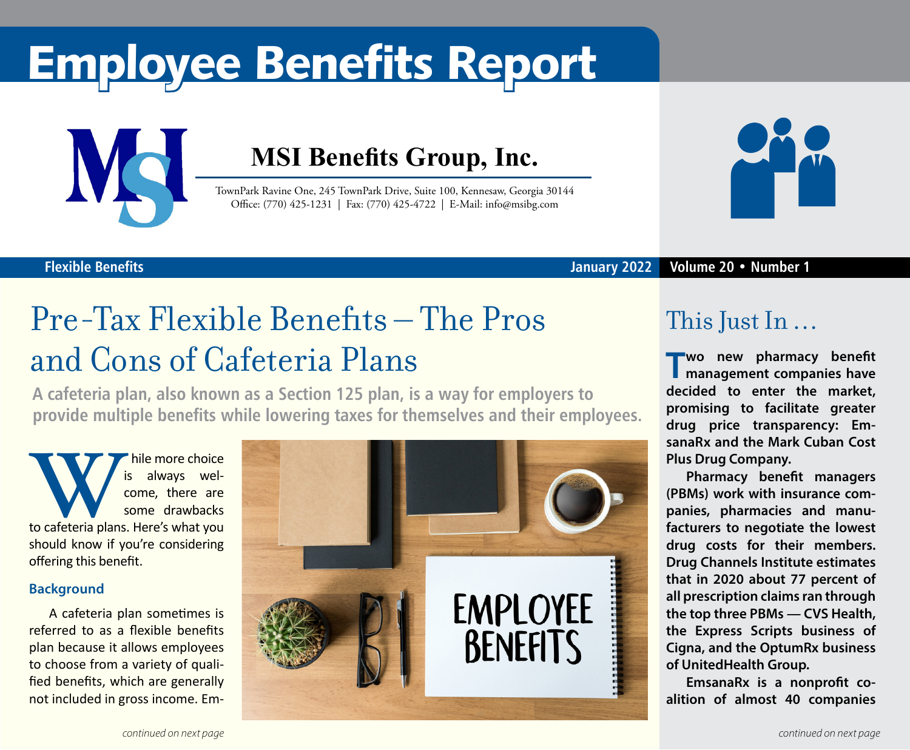# Employee Benefits Report



**Flexible Benefits**

### **MSI Benefits Group, Inc.**

TownPark Ravine One, 245 TownPark Drive, Suite 100, Kennesaw, Georgia 30144 Office: (770) 425-1231 | Fax: (770) 425-4722 | E-Mail: info@msibg.com



#### **January 2022 Volume 20 • Number 1**

## Pre-Tax Flexible Benefits – The Pros and Cons of Cafeteria Plans

**A cafeteria plan, also known as a Section 125 plan, is a way for employers to provide multiple benefits while lowering taxes for themselves and their employees.**

While more choice<br>
to cafeteria plans. Here's what you is always welcome, there are some drawbacks should know if you're considering offering this benefit.

#### **Background**

A cafeteria plan sometimes is referred to as a flexible benefits plan because it allows employees to choose from a variety of qualified benefits, which are generally not included in gross income. Em-



### This Just In …

**T wo new pharmacy benefit management companies have decided to enter the market, promising to facilitate greater drug price transparency: EmsanaRx and the Mark Cuban Cost Plus Drug Company.** 

**Pharmacy benefit managers (PBMs) work with insurance companies, pharmacies and manufacturers to negotiate the lowest drug costs for their members. Drug Channels Institute estimates that in 2020 about 77 percent of all prescription claims ran through the top three PBMs — CVS Health, the Express Scripts business of Cigna, and the OptumRx business of UnitedHealth Group.**

**EmsanaRx is a nonprofit coalition of almost 40 companies**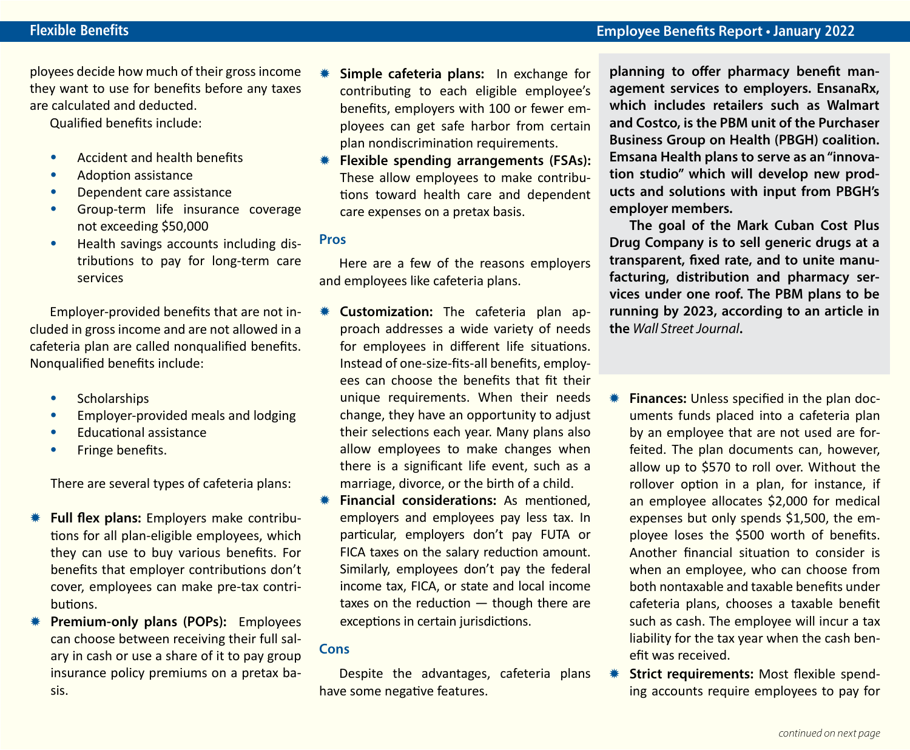ployees decide how much of their gross income they want to use for benefits before any taxes are calculated and deducted.

Qualified benefits include:

- **•** Accident and health benefits
- **•** Adoption assistance
- **•** Dependent care assistance
- **•** Group-term life insurance coverage not exceeding \$50,000
- **•** Health savings accounts including distributions to pay for long-term care services

Employer‐provided benefits that are not included in gross income and are not allowed in a cafeteria plan are called nonqualified benefits. Nonqualified benefits include:

- **•** Scholarships
- **•** Employer-provided meals and lodging
- **•** Educational assistance
- **•** Fringe benefits.

There are several types of cafeteria plans:

- Full flex plans: Employers make contributions for all plan-eligible employees, which they can use to buy various benefits. For benefits that employer contributions don't cover, employees can make pre-tax contributions.
- **Premium-only plans (POPs):** Employees can choose between receiving their full salary in cash or use a share of it to pay group insurance policy premiums on a pretax basis.
- **Simple cafeteria plans:** In exchange for contributing to each eligible employee's benefits, employers with 100 or fewer employees can get safe harbor from certain plan nondiscrimination requirements.
- **KE** Flexible spending arrangements (FSAs): These allow employees to make contributions toward health care and dependent care expenses on a pretax basis.

#### **Pros**

Here are a few of the reasons employers and employees like cafeteria plans.

- **Customization:** The cafeteria plan approach addresses a wide variety of needs for employees in different life situations. Instead of one-size-fits-all benefits, employees can choose the benefits that fit their unique requirements. When their needs change, they have an opportunity to adjust their selections each year. Many plans also allow employees to make changes when there is a significant life event, such as a marriage, divorce, or the birth of a child.
- **KET Financial considerations:** As mentioned. employers and employees pay less tax. In particular, employers don't pay FUTA or FICA taxes on the salary reduction amount. Similarly, employees don't pay the federal income tax, FICA, or state and local income taxes on the reduction — though there are exceptions in certain jurisdictions.

#### **Cons**

Despite the advantages, cafeteria plans have some negative features.

**planning to offer pharmacy benefit management services to employers. EnsanaRx, which includes retailers such as Walmart and Costco, is the PBM unit of the Purchaser Business Group on Health (PBGH) coalition. Emsana Health plans to serve as an "innovation studio" which will develop new products and solutions with input from PBGH's employer members.**

**The goal of the Mark Cuban Cost Plus Drug Company is to sell generic drugs at a transparent, fixed rate, and to unite manufacturing, distribution and pharmacy services under one roof. The PBM plans to be running by 2023, according to an article in the** *Wall Street Journal***.**

- **K** Finances: Unless specified in the plan documents funds placed into a cafeteria plan by an employee that are not used are forfeited. The plan documents can, however, allow up to \$570 to roll over. Without the rollover option in a plan, for instance, if an employee allocates \$2,000 for medical expenses but only spends \$1,500, the employee loses the \$500 worth of benefits. Another financial situation to consider is when an employee, who can choose from both nontaxable and taxable benefits under cafeteria plans, chooses a taxable benefit such as cash. The employee will incur a tax liability for the tax year when the cash benefit was received.
- **\* Strict requirements:** Most flexible spending accounts require employees to pay for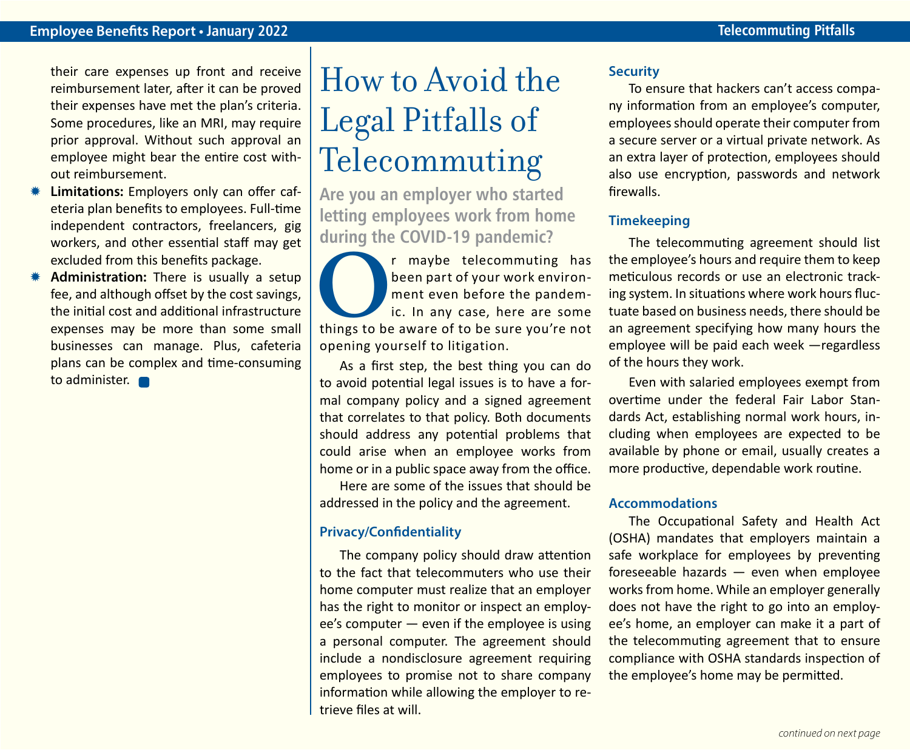their care expenses up front and receive reimbursement later, after it can be proved their expenses have met the plan's criteria. Some procedures, like an MRI, may require prior approval. Without such approval an employee might bear the entire cost without reimbursement.

- **Limitations:** Employers only can offer cafeteria plan benefits to employees. Full-time independent contractors, freelancers, gig workers, and other essential staff may get excluded from this benefits package.
- Administration: There is usually a setup fee, and although offset by the cost savings, the initial cost and additional infrastructure expenses may be more than some small businesses can manage. Plus, cafeteria plans can be complex and time-consuming to administer. **n**

### How to Avoid the Legal Pitfalls of Telecommuting

**Are you an employer who started letting employees work from home during the COVID-19 pandemic?**

The maybe telecommuting has<br>
been part of your work environ-<br>
ic. In any case, here are some<br>
things to be aware of to be sure you're not been part of your work environment even before the pandemic. In any case, here are some opening yourself to litigation.

As a first step, the best thing you can do to avoid potential legal issues is to have a formal company policy and a signed agreement that correlates to that policy. Both documents should address any potential problems that could arise when an employee works from home or in a public space away from the office.

Here are some of the issues that should be addressed in the policy and the agreement.

#### **Privacy/Confidentiality**

The company policy should draw attention to the fact that telecommuters who use their home computer must realize that an employer has the right to monitor or inspect an employee's computer — even if the employee is using a personal computer. The agreement should include a nondisclosure agreement requiring employees to promise not to share company information while allowing the employer to retrieve files at will.

#### **Security**

To ensure that hackers can't access company information from an employee's computer, employees should operate their computer from a secure server or a virtual private network. As an extra layer of protection, employees should also use encryption, passwords and network firewalls.

#### **Timekeeping**

The telecommuting agreement should list the employee's hours and require them to keep meticulous records or use an electronic tracking system. In situations where work hours fluctuate based on business needs, there should be an agreement specifying how many hours the employee will be paid each week —regardless of the hours they work.

Even with salaried employees exempt from overtime under the federal Fair Labor Standards Act, establishing normal work hours, including when employees are expected to be available by phone or email, usually creates a more productive, dependable work routine.

#### **Accommodations**

The Occupational Safety and Health Act (OSHA) mandates that employers maintain a safe workplace for employees by preventing foreseeable hazards — even when employee works from home. While an employer generally does not have the right to go into an employee's home, an employer can make it a part of the telecommuting agreement that to ensure compliance with OSHA standards inspection of the employee's home may be permitted.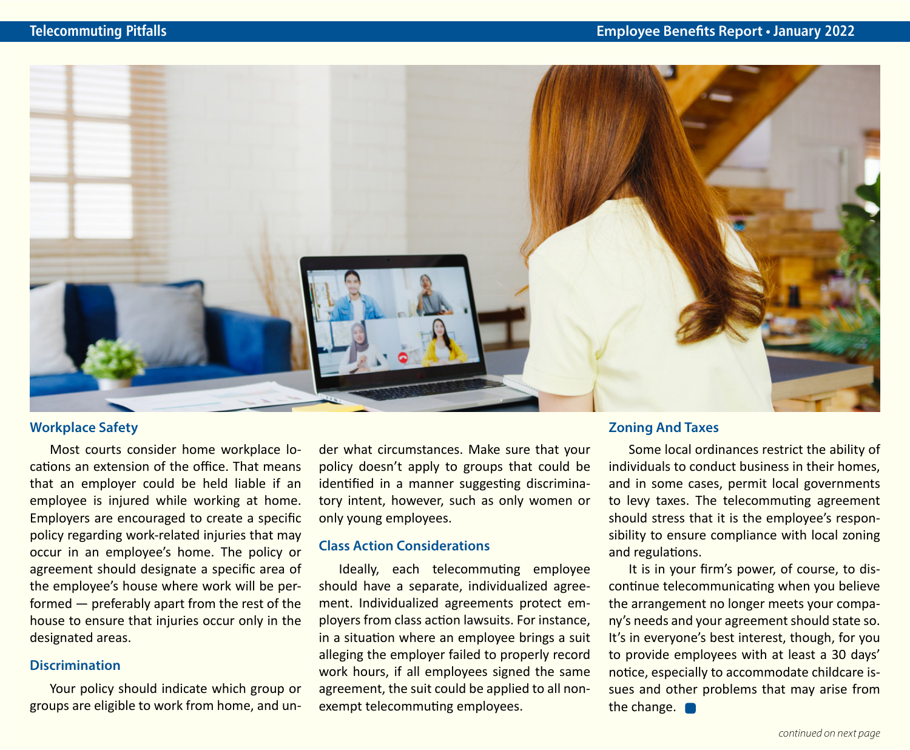

#### **Workplace Safety**

Most courts consider home workplace locations an extension of the office. That means that an employer could be held liable if an employee is injured while working at home. Employers are encouraged to create a specific policy regarding work-related injuries that may occur in an employee's home. The policy or agreement should designate a specific area of the employee's house where work will be performed — preferably apart from the rest of the house to ensure that injuries occur only in the designated areas.

#### **Discrimination**

Your policy should indicate which group or groups are eligible to work from home, and under what circumstances. Make sure that your policy doesn't apply to groups that could be identified in a manner suggesting discriminatory intent, however, such as only women or only young employees.

#### **Class Action Considerations**

Ideally, each telecommuting employee should have a separate, individualized agreement. Individualized agreements protect employers from class action lawsuits. For instance, in a situation where an employee brings a suit alleging the employer failed to properly record work hours, if all employees signed the same agreement, the suit could be applied to all nonexempt telecommuting employees.

#### **Zoning And Taxes**

Some local ordinances restrict the ability of individuals to conduct business in their homes, and in some cases, permit local governments to levy taxes. The telecommuting agreement should stress that it is the employee's responsibility to ensure compliance with local zoning and regulations.

It is in your firm's power, of course, to discontinue telecommunicating when you believe the arrangement no longer meets your company's needs and your agreement should state so. It's in everyone's best interest, though, for you to provide employees with at least a 30 days' notice, especially to accommodate childcare issues and other problems that may arise from the change.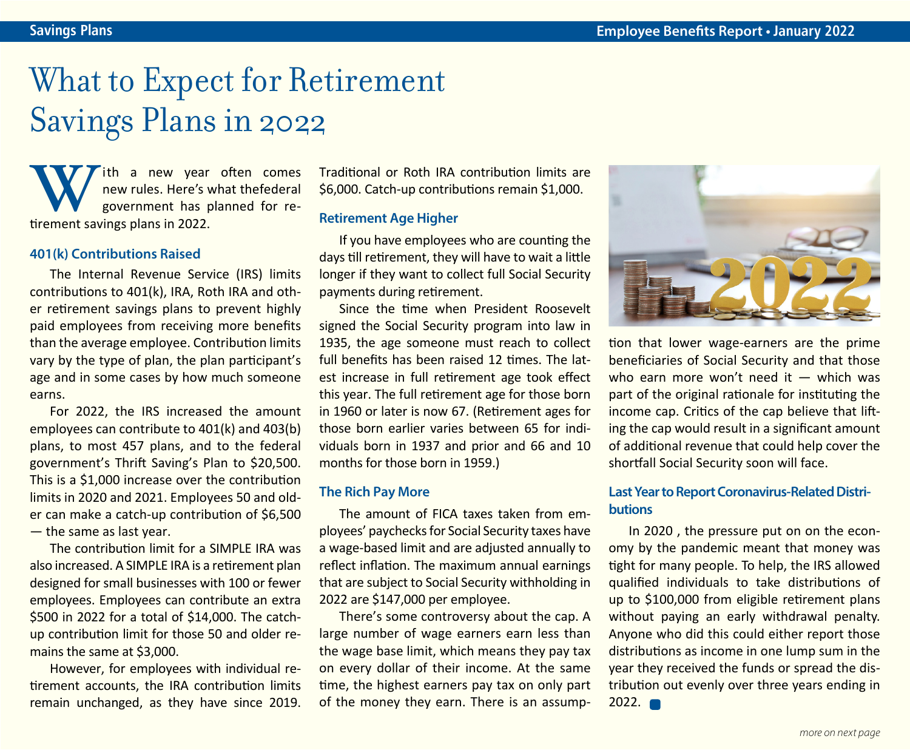### What to Expect for Retirement Savings Plans in 2022

**W** The a new year<br>
new rules. Here's v<br>
government has p<br>
tirement savings plans in 2022. ith a new year often comes new rules. Here's what thefederal government has planned for re-

#### **401(k) Contributions Raised**

The Internal Revenue Service (IRS) limits contributions to 401(k), IRA, Roth IRA and other retirement savings plans to prevent highly paid employees from receiving more benefits than the average employee. Contribution limits vary by the type of plan, the plan participant's age and in some cases by how much someone earns.

For 2022, the IRS increased the amount employees can contribute to 401(k) and 403(b) plans, to most 457 plans, and to the federal government's Thrift Saving's Plan to \$20,500. This is a \$1,000 increase over the contribution limits in 2020 and 2021. Employees 50 and older can make a catch-up contribution of \$6,500 — the same as last year.

The contribution limit for a SIMPLE IRA was also increased. A SIMPLE IRA is a retirement plan designed for small businesses with 100 or fewer employees. Employees can contribute an extra \$500 in 2022 for a total of \$14,000. The catchup contribution limit for those 50 and older remains the same at \$3,000.

However, for employees with individual retirement accounts, the IRA contribution limits remain unchanged, as they have since 2019. Traditional or Roth IRA contribution limits are \$6,000. Catch-up contributions remain \$1,000.

#### **Retirement Age Higher**

If you have employees who are counting the days till retirement, they will have to wait a little longer if they want to collect full Social Security payments during retirement.

Since the time when President Roosevelt signed the Social Security program into law in 1935, the age someone must reach to collect full benefits has been raised 12 times. The latest increase in full retirement age took effect this year. The full retirement age for those born in 1960 or later is now 67. (Retirement ages for those born earlier varies between 65 for individuals born in 1937 and prior and 66 and 10 months for those born in 1959.)

#### **The Rich Pay More**

The amount of FICA taxes taken from employees' paychecks for Social Security taxes have a wage-based limit and are adjusted annually to reflect inflation. The maximum annual earnings that are subject to Social Security withholding in 2022 are \$147,000 per employee.

There's some controversy about the cap. A large number of wage earners earn less than the wage base limit, which means they pay tax on every dollar of their income. At the same time, the highest earners pay tax on only part of the money they earn. There is an assump-



tion that lower wage-earners are the prime beneficiaries of Social Security and that those who earn more won't need it  $-$  which was part of the original rationale for instituting the income cap. Critics of the cap believe that lifting the cap would result in a significant amount of additional revenue that could help cover the shortfall Social Security soon will face.

#### **Last Year to Report Coronavirus-Related Distributions**

In 2020 , the pressure put on on the economy by the pandemic meant that money was tight for many people. To help, the IRS allowed qualified individuals to take distributions of up to \$100,000 from eligible retirement plans without paying an early withdrawal penalty. Anyone who did this could either report those distributions as income in one lump sum in the year they received the funds or spread the distribution out evenly over three years ending in  $2022.$